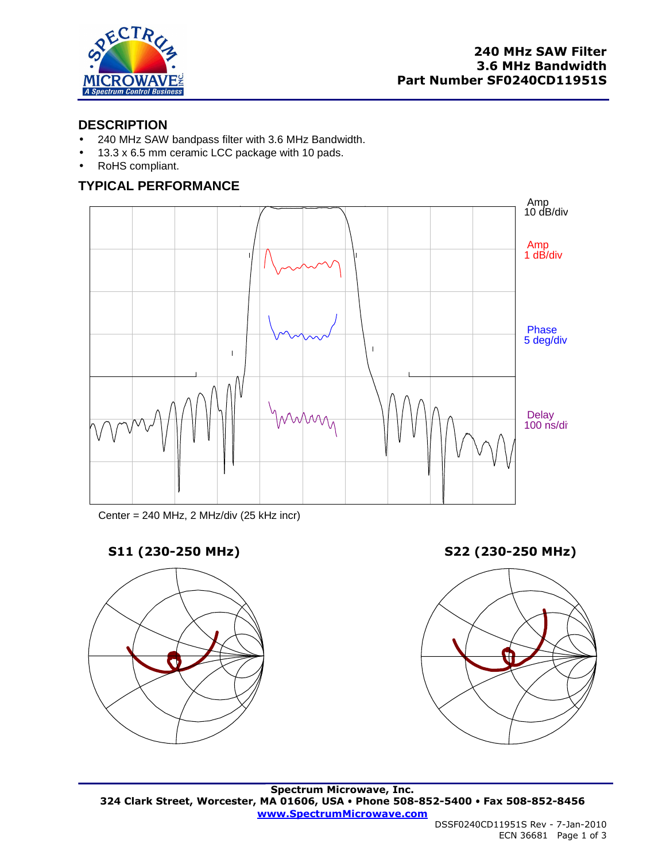

### **DESCRIPTION**

- 240 MHz SAW bandpass filter with 3.6 MHz Bandwidth.
- 13.3 x 6.5 mm ceramic LCC package with 10 pads.
- RoHS compliant.

# **TYPICAL PERFORMANCE**



Center = 240 MHz, 2 MHz/div (25 kHz incr)



**S11 (230-250 MHz) S22 (230-250 MHz)** 

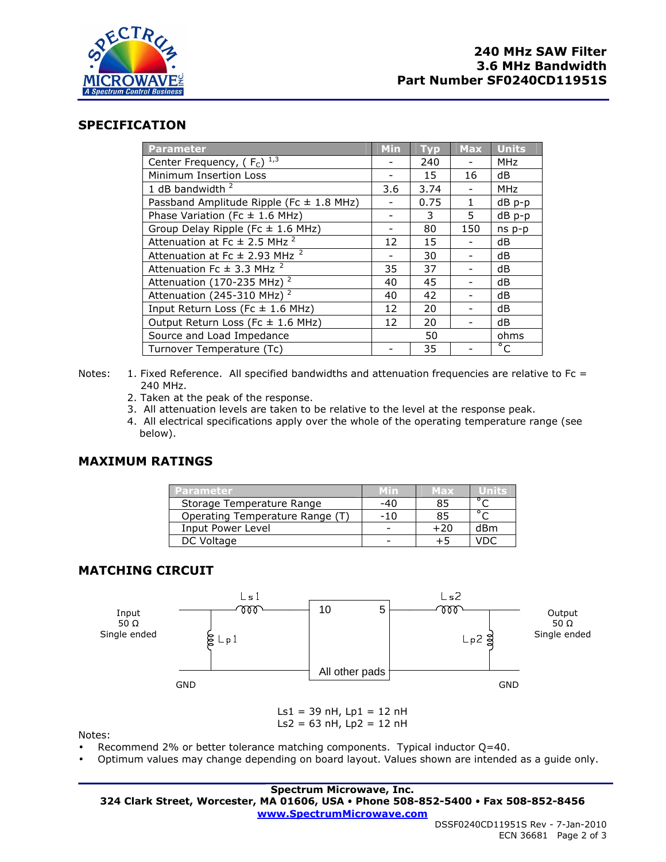

### **SPECIFICATION**

| <b>Parameter</b>                              | <b>Min</b> | <b>Tvp</b> | <b>Max</b>   | <b>Units</b>   |
|-----------------------------------------------|------------|------------|--------------|----------------|
| Center Frequency, ( $F_c$ ) $^{1,3}$          |            | 240        |              | <b>MHz</b>     |
| Minimum Insertion Loss                        |            | 15         | 16           | dB             |
| 1 dB bandwidth $2$                            | 3.6        | 3.74       |              | <b>MHz</b>     |
| Passband Amplitude Ripple (Fc $\pm$ 1.8 MHz)  |            | 0.75       | $\mathbf{1}$ | dB p-p         |
| Phase Variation (Fc $\pm$ 1.6 MHz)            |            | 3          | 5.           | dB p-p         |
| Group Delay Ripple (Fc $\pm$ 1.6 MHz)         |            | 80         | 150          | $ns p-p$       |
| Attenuation at Fc $\pm$ 2.5 MHz <sup>2</sup>  | 12         | 15         |              | dB             |
| Attenuation at Fc $\pm$ 2.93 MHz <sup>2</sup> |            | 30         |              | dB             |
| Attenuation Fc $\pm$ 3.3 MHz <sup>2</sup>     | 35         | 37         |              | dB             |
| Attenuation (170-235 MHz) <sup>2</sup>        | 40         | 45         |              | dB             |
| Attenuation (245-310 MHz) <sup>2</sup>        | 40         | 42         |              | dB             |
| Input Return Loss (Fc $\pm$ 1.6 MHz)          | 12         | 20         |              | dB             |
| Output Return Loss (Fc $\pm$ 1.6 MHz)         | 12         | 20         |              | dB             |
| Source and Load Impedance                     |            | 50         |              | ohms           |
| Turnover Temperature (Tc)                     |            | 35         |              | $\overline{C}$ |

- Notes: 1. Fixed Reference. All specified bandwidths and attenuation frequencies are relative to Fc = 240 MHz.
	- 2. Taken at the peak of the response.
	- 3. All attenuation levels are taken to be relative to the level at the response peak.
	- 4. All electrical specifications apply over the whole of the operating temperature range (see below).

#### **MAXIMUM RATINGS**

| <b>Parameter</b>                | Min   | <b>Max</b> | Units |
|---------------------------------|-------|------------|-------|
| Storage Temperature Range       | -40   | 85         |       |
| Operating Temperature Range (T) | $-10$ | 85         |       |
| Input Power Level               |       | +20        | dBm   |
| DC Voltage                      |       |            | החו   |

## **MATCHING CIRCUIT**



Notes:

- Recommend 2% or better tolerance matching components. Typical inductor Q=40.
- Optimum values may change depending on board layout. Values shown are intended as a guide only.

**Spectrum Microwave, Inc. 324 Clark Street, Worcester, MA 01606, USA Phone 508-852-5400 Fax 508-852-8456 www.SpectrumMicrowave.com**